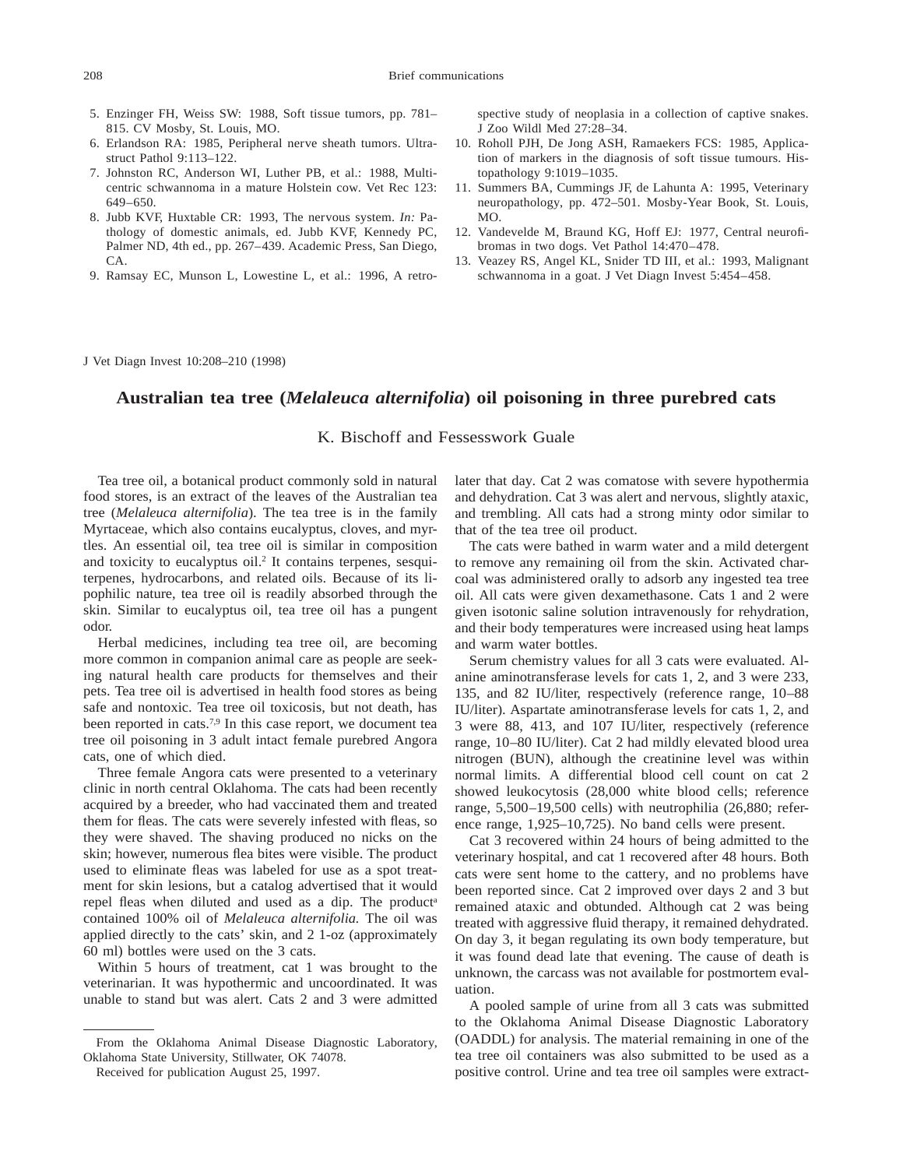- 5. Enzinger FH, Weiss SW: 1988, Soft tissue tumors, pp. 781– 815. CV Mosby, St. Louis, MO.
- 6. Erlandson RA: 1985, Peripheral nerve sheath tumors. Ultrastruct Pathol 9:113–122.
- 7. Johnston RC, Anderson WI, Luther PB, et al.: 1988, Multicentric schwannoma in a mature Holstein cow. Vet Rec 123: 649–650.
- 8. Jubb KVF, Huxtable CR: 1993, The nervous system. *In:* Pathology of domestic animals, ed. Jubb KVF, Kennedy PC, Palmer ND, 4th ed., pp. 267–439. Academic Press, San Diego, CA.
- 9. Ramsay EC, Munson L, Lowestine L, et al.: 1996, A retro-

spective study of neoplasia in a collection of captive snakes. J Zoo Wildl Med 27:28–34.

- 10. Roholl PJH, De Jong ASH, Ramaekers FCS: 1985, Application of markers in the diagnosis of soft tissue tumours. Histopathology 9:1019–1035.
- 11. Summers BA, Cummings JF, de Lahunta A: 1995, Veterinary neuropathology, pp. 472–501. Mosby-Year Book, St. Louis, MO.
- 12. Vandevelde M, Braund KG, Hoff EJ: 1977, Central neurofibromas in two dogs. Vet Pathol 14:470–478.
- 13. Veazey RS, Angel KL, Snider TD III, et al.: 1993, Malignant schwannoma in a goat. J Vet Diagn Invest 5:454–458.

J Vet Diagn Invest 10:208–210 (1998)

### **Australian tea tree (***Melaleuca alternifolia***) oil poisoning in three purebred cats**

### K. Bischoff and Fessesswork Guale

Tea tree oil, a botanical product commonly sold in natural food stores, is an extract of the leaves of the Australian tea tree (*Melaleuca alternifolia*). The tea tree is in the family Myrtaceae, which also contains eucalyptus, cloves, and myrtles. An essential oil, tea tree oil is similar in composition and toxicity to eucalyptus oil.<sup>2</sup> It contains terpenes, sesquiterpenes, hydrocarbons, and related oils. Because of its lipophilic nature, tea tree oil is readily absorbed through the skin. Similar to eucalyptus oil, tea tree oil has a pungent odor.

Herbal medicines, including tea tree oil, are becoming more common in companion animal care as people are seeking natural health care products for themselves and their pets. Tea tree oil is advertised in health food stores as being safe and nontoxic. Tea tree oil toxicosis, but not death, has been reported in cats.<sup>7,9</sup> In this case report, we document tea tree oil poisoning in 3 adult intact female purebred Angora cats, one of which died.

Three female Angora cats were presented to a veterinary clinic in north central Oklahoma. The cats had been recently acquired by a breeder, who had vaccinated them and treated them for fleas. The cats were severely infested with fleas, so they were shaved. The shaving produced no nicks on the skin; however, numerous flea bites were visible. The product used to eliminate fleas was labeled for use as a spot treatment for skin lesions, but a catalog advertised that it would repel fleas when diluted and used as a dip. The product<sup>a</sup> contained 100% oil of *Melaleuca alternifolia.* The oil was applied directly to the cats' skin, and 2 1-oz (approximately 60 ml) bottles were used on the 3 cats.

Within 5 hours of treatment, cat 1 was brought to the veterinarian. It was hypothermic and uncoordinated. It was unable to stand but was alert. Cats 2 and 3 were admitted later that day. Cat 2 was comatose with severe hypothermia and dehydration. Cat 3 was alert and nervous, slightly ataxic, and trembling. All cats had a strong minty odor similar to that of the tea tree oil product.

The cats were bathed in warm water and a mild detergent to remove any remaining oil from the skin. Activated charcoal was administered orally to adsorb any ingested tea tree oil. All cats were given dexamethasone. Cats 1 and 2 were given isotonic saline solution intravenously for rehydration, and their body temperatures were increased using heat lamps and warm water bottles.

Serum chemistry values for all 3 cats were evaluated. Alanine aminotransferase levels for cats 1, 2, and 3 were 233, 135, and 82 IU/liter, respectively (reference range, 10–88 IU/liter). Aspartate aminotransferase levels for cats 1, 2, and 3 were 88, 413, and 107 IU/liter, respectively (reference range, 10–80 IU/liter). Cat 2 had mildly elevated blood urea nitrogen (BUN), although the creatinine level was within normal limits. A differential blood cell count on cat 2 showed leukocytosis (28,000 white blood cells; reference range, 5,500–19,500 cells) with neutrophilia (26,880; reference range, 1,925–10,725). No band cells were present.

Cat 3 recovered within 24 hours of being admitted to the veterinary hospital, and cat 1 recovered after 48 hours. Both cats were sent home to the cattery, and no problems have been reported since. Cat 2 improved over days 2 and 3 but remained ataxic and obtunded. Although cat 2 was being treated with aggressive fluid therapy, it remained dehydrated. On day 3, it began regulating its own body temperature, but it was found dead late that evening. The cause of death is unknown, the carcass was not available for postmortem evaluation.

A pooled sample of urine from all 3 cats was submitted to the Oklahoma Animal Disease Diagnostic Laboratory (OADDL) for analysis. The material remaining in one of the tea tree oil containers was also submitted to be used as a positive control. Urine and tea tree oil samples were extract-

From the Oklahoma Animal Disease Diagnostic Laboratory, Oklahoma State University, Stillwater, OK 74078.

Received for publication August 25, 1997.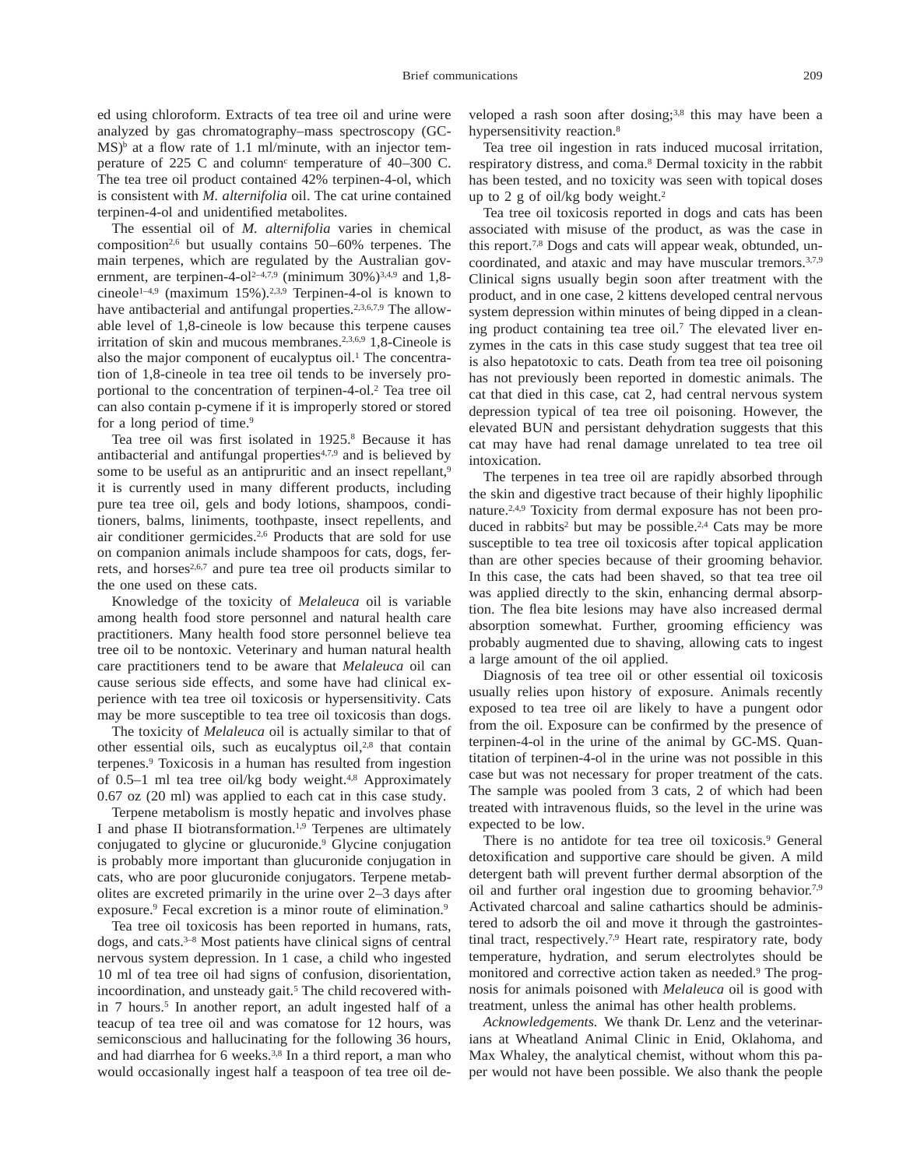ed using chloroform. Extracts of tea tree oil and urine were analyzed by gas chromatography–mass spectroscopy (GC- $MS$ <sup>b</sup> at a flow rate of 1.1 ml/minute, with an injector temperature of  $225$  C and column<sup>c</sup> temperature of  $40-300$  C. The tea tree oil product contained 42% terpinen-4-ol, which is consistent with *M. alternifolia* oil. The cat urine contained terpinen-4-ol and unidentified metabolites.

The essential oil of *M. alternifolia* varies in chemical composition<sup>2,6</sup> but usually contains  $50-60\%$  terpenes. The main terpenes, which are regulated by the Australian government, are terpinen-4-ol<sup>2-4,7,9</sup> (minimum 30%)<sup>3,4,9</sup> and 1,8cineole<sup>1-4,9</sup> (maximum 15%).<sup>2,3,9</sup> Terpinen-4-ol is known to have antibacterial and antifungal properties.<sup>2,3,6,7,9</sup> The allowable level of 1,8-cineole is low because this terpene causes irritation of skin and mucous membranes.<sup>2,3,6,9</sup> 1,8-Cineole is also the major component of eucalyptus oil.<sup>1</sup> The concentration of 1,8-cineole in tea tree oil tends to be inversely proportional to the concentration of terpinen-4-ol.2 Tea tree oil can also contain p-cymene if it is improperly stored or stored for a long period of time.<sup>9</sup>

Tea tree oil was first isolated in 1925.<sup>8</sup> Because it has antibacterial and antifungal properties4,7,9 and is believed by some to be useful as an antipruritic and an insect repellant,<sup>9</sup> it is currently used in many different products, including pure tea tree oil, gels and body lotions, shampoos, conditioners, balms, liniments, toothpaste, insect repellents, and air conditioner germicides.2,6 Products that are sold for use on companion animals include shampoos for cats, dogs, ferrets, and horses<sup>2,6,7</sup> and pure tea tree oil products similar to the one used on these cats.

Knowledge of the toxicity of *Melaleuca* oil is variable among health food store personnel and natural health care practitioners. Many health food store personnel believe tea tree oil to be nontoxic. Veterinary and human natural health care practitioners tend to be aware that *Melaleuca* oil can cause serious side effects, and some have had clinical experience with tea tree oil toxicosis or hypersensitivity. Cats may be more susceptible to tea tree oil toxicosis than dogs.

The toxicity of *Melaleuca* oil is actually similar to that of other essential oils, such as eucalyptus oil,<sup>2,8</sup> that contain terpenes.9 Toxicosis in a human has resulted from ingestion of 0.5–1 ml tea tree oil/kg body weight. $4,8$  Approximately 0.67 oz (20 ml) was applied to each cat in this case study.

Terpene metabolism is mostly hepatic and involves phase I and phase II biotransformation.<sup>1,9</sup> Terpenes are ultimately conjugated to glycine or glucuronide.9 Glycine conjugation is probably more important than glucuronide conjugation in cats, who are poor glucuronide conjugators. Terpene metabolites are excreted primarily in the urine over 2–3 days after exposure.<sup>9</sup> Fecal excretion is a minor route of elimination.<sup>9</sup>

Tea tree oil toxicosis has been reported in humans, rats, dogs, and cats.3–8 Most patients have clinical signs of central nervous system depression. In 1 case, a child who ingested 10 ml of tea tree oil had signs of confusion, disorientation, incoordination, and unsteady gait.<sup>5</sup> The child recovered within 7 hours.<sup>5</sup> In another report, an adult ingested half of a teacup of tea tree oil and was comatose for 12 hours, was semiconscious and hallucinating for the following 36 hours, and had diarrhea for 6 weeks.3,8 In a third report, a man who would occasionally ingest half a teaspoon of tea tree oil de-

veloped a rash soon after dosing;<sup>3,8</sup> this may have been a hypersensitivity reaction.<sup>8</sup>

Tea tree oil ingestion in rats induced mucosal irritation, respiratory distress, and coma.8 Dermal toxicity in the rabbit has been tested, and no toxicity was seen with topical doses up to 2 g of oil/kg body weight.<sup>2</sup>

Tea tree oil toxicosis reported in dogs and cats has been associated with misuse of the product, as was the case in this report.7,8 Dogs and cats will appear weak, obtunded, uncoordinated, and ataxic and may have muscular tremors.3,7,9 Clinical signs usually begin soon after treatment with the product, and in one case, 2 kittens developed central nervous system depression within minutes of being dipped in a cleaning product containing tea tree oil.<sup>7</sup> The elevated liver enzymes in the cats in this case study suggest that tea tree oil is also hepatotoxic to cats. Death from tea tree oil poisoning has not previously been reported in domestic animals. The cat that died in this case, cat 2, had central nervous system depression typical of tea tree oil poisoning. However, the elevated BUN and persistant dehydration suggests that this cat may have had renal damage unrelated to tea tree oil intoxication.

The terpenes in tea tree oil are rapidly absorbed through the skin and digestive tract because of their highly lipophilic nature.2,4,9 Toxicity from dermal exposure has not been produced in rabbits<sup>2</sup> but may be possible.<sup>2,4</sup> Cats may be more susceptible to tea tree oil toxicosis after topical application than are other species because of their grooming behavior. In this case, the cats had been shaved, so that tea tree oil was applied directly to the skin, enhancing dermal absorption. The flea bite lesions may have also increased dermal absorption somewhat. Further, grooming efficiency was probably augmented due to shaving, allowing cats to ingest a large amount of the oil applied.

Diagnosis of tea tree oil or other essential oil toxicosis usually relies upon history of exposure. Animals recently exposed to tea tree oil are likely to have a pungent odor from the oil. Exposure can be confirmed by the presence of terpinen-4-ol in the urine of the animal by GC-MS. Quantitation of terpinen-4-ol in the urine was not possible in this case but was not necessary for proper treatment of the cats. The sample was pooled from 3 cats, 2 of which had been treated with intravenous fluids, so the level in the urine was expected to be low.

There is no antidote for tea tree oil toxicosis.<sup>9</sup> General detoxification and supportive care should be given. A mild detergent bath will prevent further dermal absorption of the oil and further oral ingestion due to grooming behavior.7,9 Activated charcoal and saline cathartics should be administered to adsorb the oil and move it through the gastrointestinal tract, respectively.<sup>7,9</sup> Heart rate, respiratory rate, body temperature, hydration, and serum electrolytes should be monitored and corrective action taken as needed.9 The prognosis for animals poisoned with *Melaleuca* oil is good with treatment, unless the animal has other health problems.

*Acknowledgements.* We thank Dr. Lenz and the veterinarians at Wheatland Animal Clinic in Enid, Oklahoma, and Max Whaley, the analytical chemist, without whom this paper would not have been possible. We also thank the people